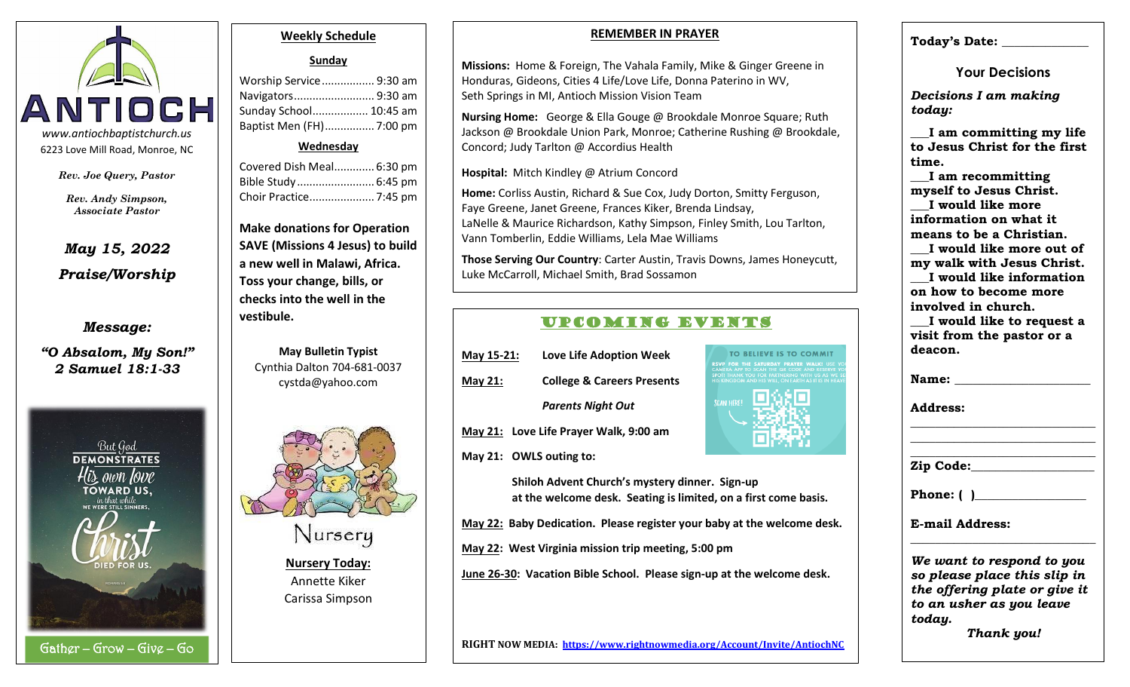

*Rev. Joe Query, Pastor*

*Rev. Andy Simpson, Associate Pastor*

# *May 15, 2022 Praise/Worship*

## *Message:*

*"O Absalom, My Son!" 2 Samuel 18:1-33*



#### **Weekly Schedule**

### **Sunday**

Worship Service................. 9:30 am Navigators.......................... 9:30 am Sunday School.................. 10:45 am Baptist Men (FH)................ 7:00 pm

#### **Wednesday**

Covered Dish Meal............. 6:30 pm Bible Study......................... 6:45 pm Choir Practice..................... 7:45 pm

**Make donations for Operation SAVE (Missions 4 Jesus) to build a new well in Malawi, Africa. Toss your change, bills, or checks into the well in the vestibule.**

**May Bulletin Typist** Cynthia Dalton 704-681-0037 cystda@yahoo.com



**Nursery Today:** Annette Kiker Carissa Simpson

#### **REMEMBER IN PRAYER**

**Missions:** Home & Foreign, The Vahala Family, Mike & Ginger Greene in Honduras, Gideons, Cities 4 Life/Love Life, Donna Paterino in WV, Seth Springs in MI, Antioch Mission Vision Team

**Nursing Home:** George & Ella Gouge @ Brookdale Monroe Square; Ruth Jackson @ Brookdale Union Park, Monroe; Catherine Rushing @ Brookdale, Concord; Judy Tarlton @ Accordius Health

#### **Hospital:** Mitch Kindley @ Atrium Concord

**Home:** Corliss Austin, Richard & Sue Cox, Judy Dorton, Smitty Ferguson, Faye Greene, Janet Greene, Frances Kiker, Brenda Lindsay, LaNelle & Maurice Richardson, Kathy Simpson, Finley Smith, Lou Tarlton, Vann Tomberlin, Eddie Williams, Lela Mae Williams

**Those Serving Our Country**: Carter Austin, Travis Downs, James Honeycutt, Luke McCarroll, Michael Smith, Brad Sossamon

## UPCOMING EVENTS

| May 15-21:     | <b>Love Life Adoption Week</b>        |
|----------------|---------------------------------------|
| <b>May 21:</b> | <b>College &amp; Careers Presents</b> |
|                | <b>Parents Night Out</b>              |

**May 21: Love Life Prayer Walk, 9:00 am**

**May 21: OWLS outing to:**



**Shiloh Advent Church's mystery dinner. Sign-up at the welcome desk. Seating is limited, on a first come basis.**

**May 22: Baby Dedication. Please register your baby at the welcome desk.**

**May 22: West Virginia mission trip meeting, 5:00 pm**

**June 26-30: Vacation Bible School. Please sign-up at the welcome desk.**

#### **RIGHT NOW MEDIA: https://www.rightnowmedia.org/Account/Invite/AntiochNC**

## **Today's Date: \_\_\_\_\_\_\_\_\_\_\_\_\_\_**

**Your Decisions**

*Decisions I am making today:*

**\_\_\_I am committing my life to Jesus Christ for the first time.**

**\_\_\_I am recommitting myself to Jesus Christ. \_\_\_I would like more information on what it means to be a Christian.**

**\_\_\_I would like more out of my walk with Jesus Christ. \_\_\_I would like information on how to become more involved in church.**

**\_\_\_I would like to request a visit from the pastor or a deacon.**

**\_\_\_\_\_\_\_\_\_\_\_\_\_\_\_\_\_\_\_\_\_\_\_\_\_\_\_\_\_\_ \_\_\_\_\_\_\_\_\_\_\_\_\_\_\_\_\_\_\_\_\_\_\_\_\_\_\_\_\_\_ \_\_\_\_\_\_\_\_\_\_\_\_\_\_\_\_\_\_\_\_\_\_\_\_\_\_\_\_\_\_**

Name:

**Address:** 

**Zip Code:\_\_\_\_\_\_\_\_\_\_\_\_\_\_\_\_\_\_\_\_**

**Phone:** ( )

**E-mail Address:** 

*We want to respond to you so please place this slip in the offering plate or give it to an usher as you leave today.*

**\_\_\_\_\_\_\_\_\_\_\_\_\_\_\_\_\_\_\_\_\_\_\_\_\_\_\_\_\_\_**

*Thank you!*